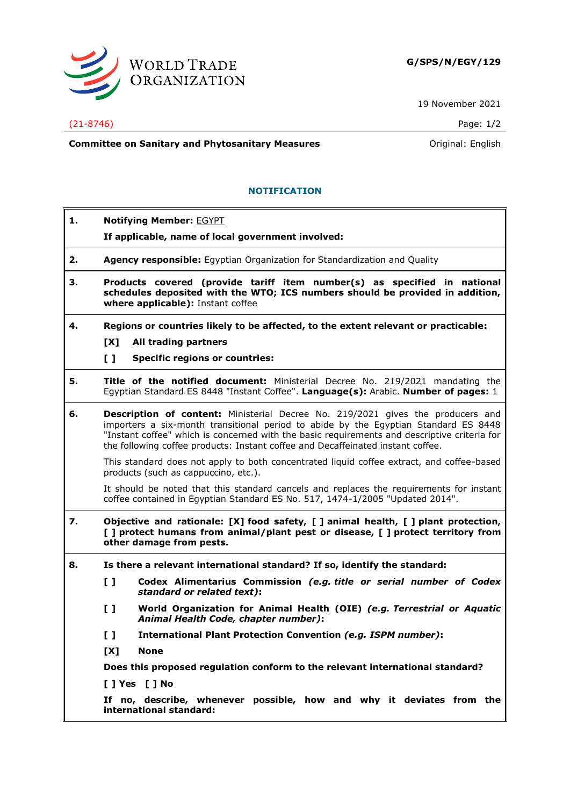

19 November 2021

## (21-8746) Page: 1/2

**Committee on Sanitary and Phytosanitary Measures Committee on Sanitary and Phytosanitary Measures Committee And American** 

## **NOTIFICATION**

- **1. Notifying Member:** EGYPT
	- **If applicable, name of local government involved:**
- **2. Agency responsible:** Egyptian Organization for Standardization and Quality
- **3. Products covered (provide tariff item number(s) as specified in national schedules deposited with the WTO; ICS numbers should be provided in addition, where applicable):** Instant coffee
- **4. Regions or countries likely to be affected, to the extent relevant or practicable:**
	- **[X] All trading partners**

**[ ] Specific regions or countries:**

- **5. Title of the notified document:** Ministerial Decree No. 219/2021 mandating the Egyptian Standard ES 8448 "Instant Coffee". **Language(s):** Arabic. **Number of pages:** 1
- **6. Description of content:** Ministerial Decree No. 219/2021 gives the producers and importers a six-month transitional period to abide by the Egyptian Standard ES 8448 "Instant coffee" which is concerned with the basic requirements and descriptive criteria for the following coffee products: Instant coffee and Decaffeinated instant coffee.

This standard does not apply to both concentrated liquid coffee extract, and coffee-based products (such as cappuccino, etc.).

It should be noted that this standard cancels and replaces the requirements for instant coffee contained in Egyptian Standard ES No. 517, 1474-1/2005 "Updated 2014".

- **7. Objective and rationale: [X] food safety, [ ] animal health, [ ] plant protection, [ ] protect humans from animal/plant pest or disease, [ ] protect territory from other damage from pests.**
- **8. Is there a relevant international standard? If so, identify the standard:**
	- **[ ] Codex Alimentarius Commission** *(e.g. title or serial number of Codex standard or related text)***:**
	- **[ ] World Organization for Animal Health (OIE)** *(e.g. Terrestrial or Aquatic Animal Health Code, chapter number)***:**
	- **[ ] International Plant Protection Convention** *(e.g. ISPM number)***:**
	- **[X] None**

**Does this proposed regulation conform to the relevant international standard?** 

**[ ] Yes [ ] No**

**If no, describe, whenever possible, how and why it deviates from the international standard:**